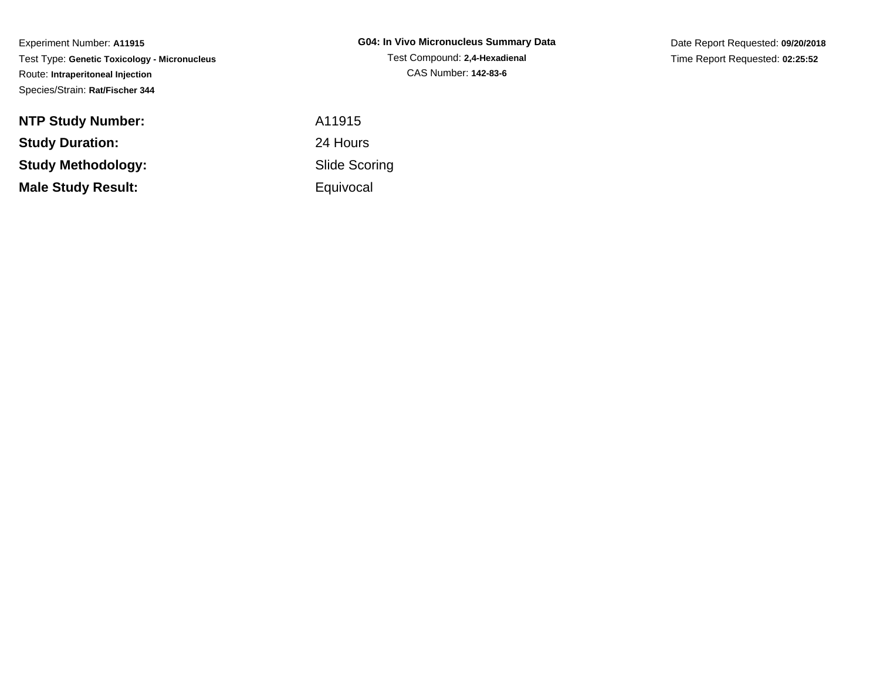Experiment Number: **A11915** Test Type: **Genetic Toxicology - Micronucleus**Route: **Intraperitoneal Injection**Species/Strain: **Rat/Fischer 344**

**NTP Study Number:Study Duration:Study Methodology:Male Study Result:**

**G04: In Vivo Micronucleus Summary Data**Test Compound: **2,4-Hexadienal**CAS Number: **142-83-6**

Date Report Requested: **09/20/2018**Time Report Requested: **02:25:52**

 A11915 24 Hours Slide Scoring**Equivocal**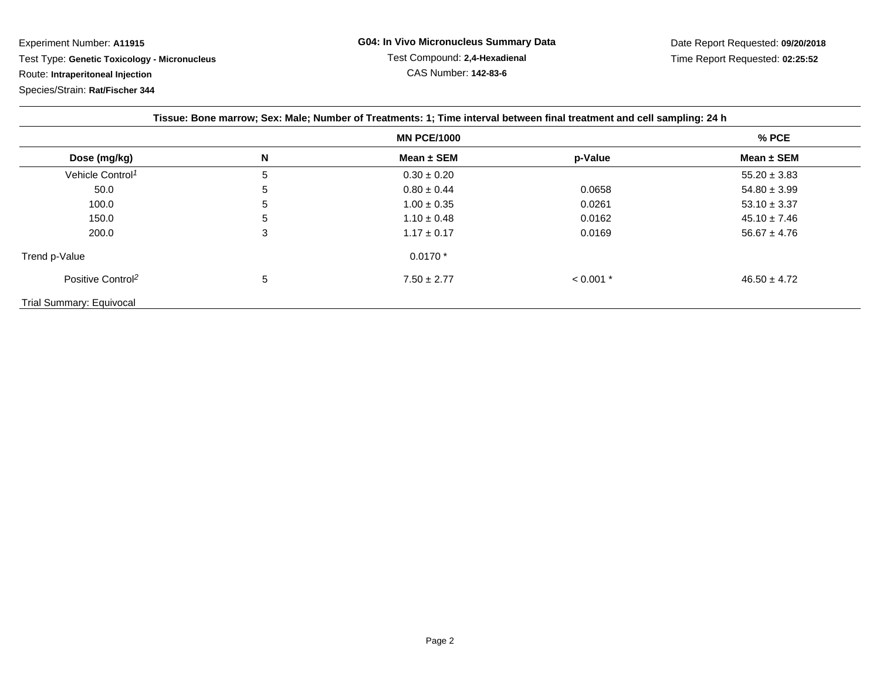Experiment Number: **A11915**

Test Type: **Genetic Toxicology - Micronucleus**

Route: **Intraperitoneal Injection**

Species/Strain: **Rat/Fischer 344**

| Tissue: Bone marrow; Sex: Male; Number of Treatments: 1; Time interval between final treatment and cell sampling: 24 h |              |                 |             |                  |
|------------------------------------------------------------------------------------------------------------------------|--------------|-----------------|-------------|------------------|
| <b>MN PCE/1000</b>                                                                                                     |              |                 |             | $%$ PCE          |
| Dose (mg/kg)                                                                                                           | N            | Mean $\pm$ SEM  | p-Value     | Mean $\pm$ SEM   |
| Vehicle Control <sup>1</sup>                                                                                           | 5            | $0.30 \pm 0.20$ |             | $55.20 \pm 3.83$ |
| 50.0                                                                                                                   | 5            | $0.80 \pm 0.44$ | 0.0658      | $54.80 \pm 3.99$ |
| 100.0                                                                                                                  | <sub>5</sub> | $1.00 \pm 0.35$ | 0.0261      | $53.10 \pm 3.37$ |
| 150.0                                                                                                                  | 5            | $1.10 \pm 0.48$ | 0.0162      | $45.10 \pm 7.46$ |
| 200.0                                                                                                                  | 3            | $1.17 \pm 0.17$ | 0.0169      | $56.67 \pm 4.76$ |
| Trend p-Value                                                                                                          |              | $0.0170*$       |             |                  |
| Positive Control <sup>2</sup>                                                                                          | 5            | $7.50 \pm 2.77$ | $< 0.001$ * | $46.50 \pm 4.72$ |
| Trial Summary: Equivocal                                                                                               |              |                 |             |                  |